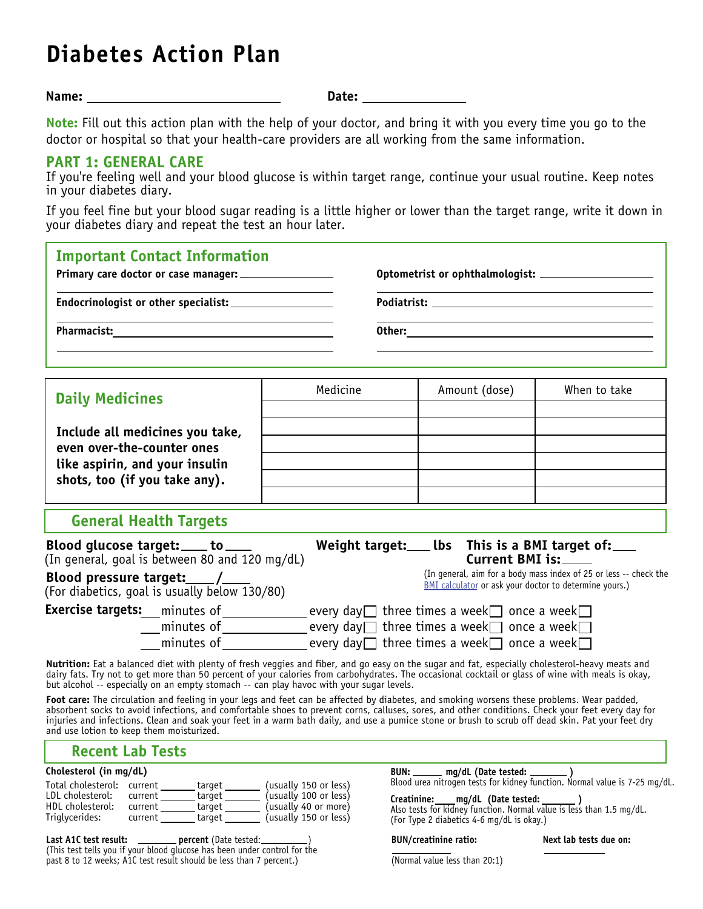# **Diabetes Action Plan**

**Name:** 

**Date:**

**Note:** Fill out this action plan with the help of your doctor, and bring it with you every time you go to the doctor or hospital so that your health-care providers are all working from the same information.

### **PART 1: GENERAL CARE**

If you're feeling well and your blood glucose is within target range, continue your usual routine. Keep notes in your diabetes diary.

If you feel fine but your blood sugar reading is a little higher or lower than the target range, write it down in your diabetes diary and repeat the test an hour later.

| <b>Important Contact Information</b>                                                                                                                                                                                                                                                                                                                                                                                                               |          |  |                 |                                                                                                                                                                            |
|----------------------------------------------------------------------------------------------------------------------------------------------------------------------------------------------------------------------------------------------------------------------------------------------------------------------------------------------------------------------------------------------------------------------------------------------------|----------|--|-----------------|----------------------------------------------------------------------------------------------------------------------------------------------------------------------------|
|                                                                                                                                                                                                                                                                                                                                                                                                                                                    |          |  |                 |                                                                                                                                                                            |
| <b>Daily Medicines</b>                                                                                                                                                                                                                                                                                                                                                                                                                             | Medicine |  | Amount (dose)   | When to take                                                                                                                                                               |
| Include all medicines you take,<br>even over-the-counter ones<br>like aspirin, and your insulin<br>shots, too (if you take any).                                                                                                                                                                                                                                                                                                                   |          |  |                 |                                                                                                                                                                            |
| <b>General Health Targets</b>                                                                                                                                                                                                                                                                                                                                                                                                                      |          |  |                 |                                                                                                                                                                            |
| Blood glucose target: ____ to ____<br>(In general, goal is between 80 and 120 mg/dL)<br>Blood pressure target: /<br>(For diabetics, goal is usually below 130/80)                                                                                                                                                                                                                                                                                  |          |  | Current BMI is: | Weight target: Lbs This is a BMI target of:<br>(In general, aim for a body mass index of 25 or less -- check the<br>BMI calculator or ask your doctor to determine yours.) |
| <b>Exercise targets:</b> __minutes of _______________every day $\Box$ three times a week $\Box$ once a week $\Box$<br><u></u> __minutes of ______________ every day□ three times a week□ once a week□<br>$\Box$ minutes of $\Box$ every day $\Box$ three times a week $\Box$ once a week $\Box$<br>Nutrition: Eat a balanced diet with plenty of fresh veggies and fiber, and go easy on the sugar and fat, especially cholesterol-heavy meats and |          |  |                 |                                                                                                                                                                            |

dairy fats. Try not to get more than 50 percent of your calories from carbohydrates. The occasional cocktail or glass of wine with meals is okay, but alcohol -- especially on an empty stomach -- can play havoc with your sugar levels.

**Foot care:** The circulation and feeling in your legs and feet can be affected by diabetes, and smoking worsens these problems. Wear padded, absorbent socks to avoid infections, and comfortable shoes to prevent corns, calluses, sores, and other conditions. Check your feet every day for injuries and infections. Clean and soak your feet in a warm bath daily, and use a pumice stone or brush to scrub off dead skin. Pat your feet dry and use lotion to keep them moisturized.

## **Recent Lab Tests**

#### **Cholesterol (in mg/dL)**

| Total cholesterol: current |         | target | (usually 150 or less) |
|----------------------------|---------|--------|-----------------------|
| LDL cholesterol:           | current | target | (usually 100 or less) |
| HDL cholesterol:           | current | target | (usually 40 or more)  |
| Triglycerides:             | current | target | (usually 150 or less) |

Last A1C test result: \_\_\_\_\_\_\_ percent (Date tested:\_ (This test tells you if your blood glucose has been under control for the past 8 to 12 weeks; A1C test result should be less than 7 percent.)

**BUN:** \_\_\_\_\_\_ mg/dL (Date tested: \_ Blood urea nitrogen tests for kidney function. Normal value is 7-25 mg/dL.

 **Creatinine: mg/dL (Date tested: )** Also tests for kidney function. Normal value is less than 1.5 mg/dL. (For Type 2 diabetics 4-6 mg/dL is okay.)

#### **BUN/creatinine ratio:**

**Next lab tests due on:**

 $\overline{\phantom{a}}$ (Normal value less than 20:1)